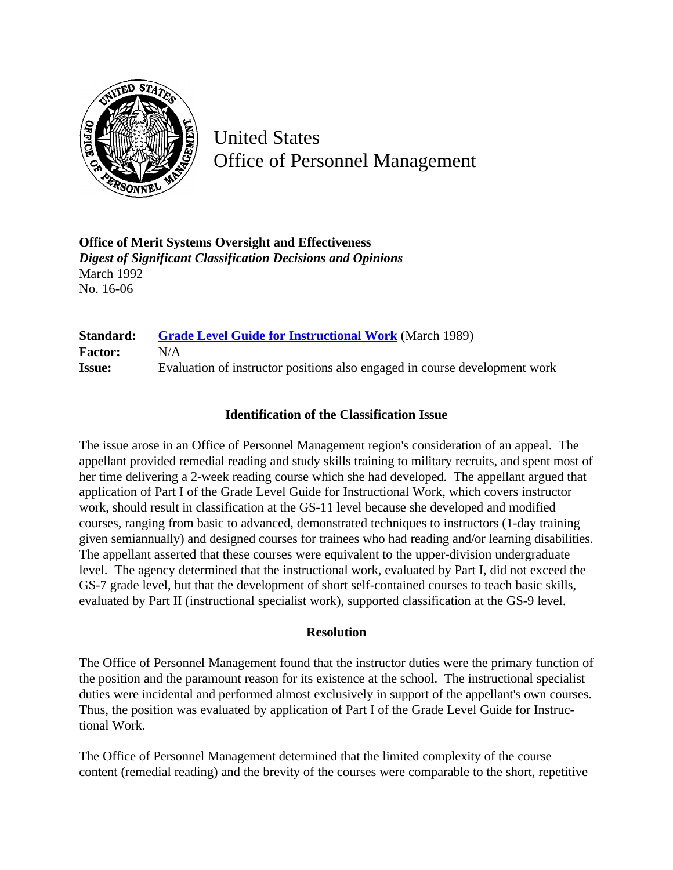

United States Office of Personnel Management

**Office of Merit Systems Oversight and Effectiveness** *Digest of Significant Classification Decisions and Opinions* March 1992 No. 16-06

**Standard: [Grade Level Guide for Instructional Work](http://www.opm.gov/hr/fedclass/gsinstwk.pdf)** (March 1989) **Factor:** N/A **Issue:** Evaluation of instructor positions also engaged in course development work

## **Identification of the Classification Issue**

The issue arose in an Office of Personnel Management region's consideration of an appeal. The appellant provided remedial reading and study skills training to military recruits, and spent most of her time delivering a 2-week reading course which she had developed. The appellant argued that application of Part I of the Grade Level Guide for Instructional Work, which covers instructor work, should result in classification at the GS-11 level because she developed and modified courses, ranging from basic to advanced, demonstrated techniques to instructors (1-day training given semiannually) and designed courses for trainees who had reading and/or learning disabilities. The appellant asserted that these courses were equivalent to the upper-division undergraduate level. The agency determined that the instructional work, evaluated by Part I, did not exceed the GS-7 grade level, but that the development of short self-contained courses to teach basic skills, evaluated by Part II (instructional specialist work), supported classification at the GS-9 level.

## **Resolution**

The Office of Personnel Management found that the instructor duties were the primary function of the position and the paramount reason for its existence at the school. The instructional specialist duties were incidental and performed almost exclusively in support of the appellant's own courses. Thus, the position was evaluated by application of Part I of the Grade Level Guide for Instructional Work.

The Office of Personnel Management determined that the limited complexity of the course content (remedial reading) and the brevity of the courses were comparable to the short, repetitive